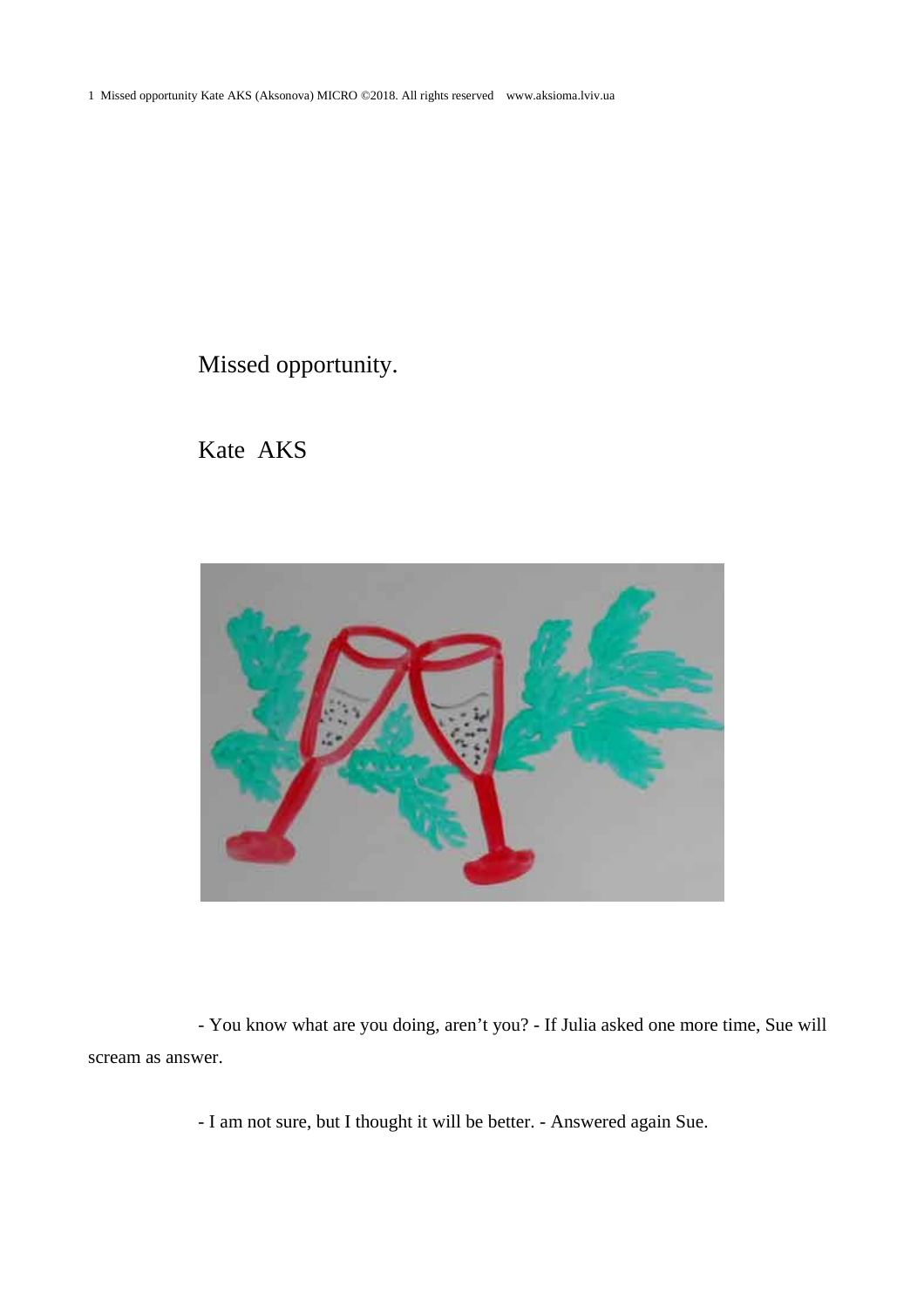1 Missed opportunity Kate AKS (Aksonova) MICRO ©2018. All rights reserved www.aksioma.lviv.ua

Missed opportunity.

Kate AKS



- You know what are you doing, aren't you? - If Julia asked one more time, Sue will scream as answer.

- I am not sure, but I thought it will be better. - Answered again Sue.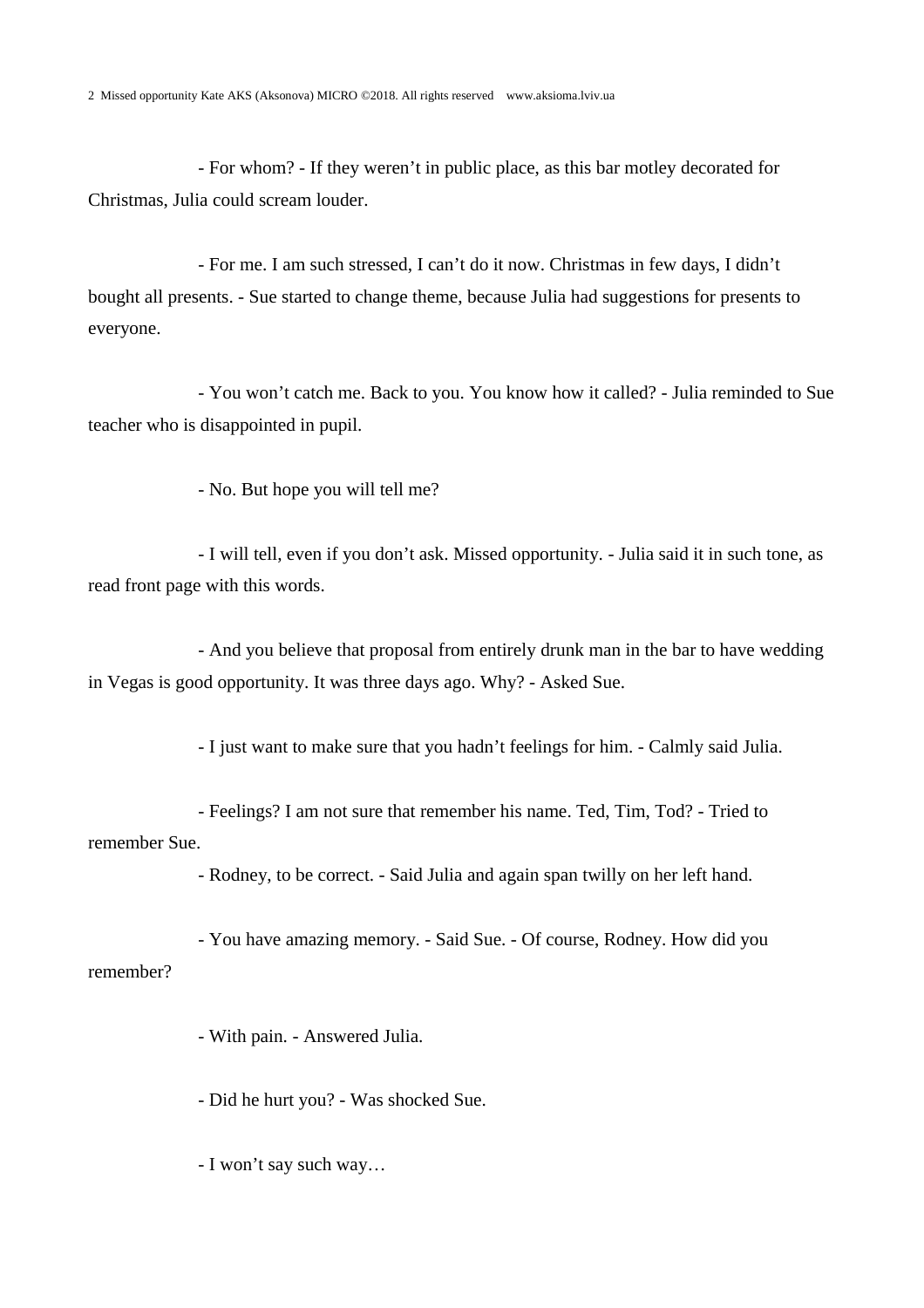- For whom? - If they weren't in public place, as this bar motley decorated for Christmas, Julia could scream louder.

- For me. I am such stressed, I can't do it now. Christmas in few days, I didn't bought all presents. - Sue started to change theme, because Julia had suggestions for presents to everyone.

- You won't catch me. Back to you. You know how it called? - Julia reminded to Sue teacher who is disappointed in pupil.

- No. But hope you will tell me?

- I will tell, even if you don't ask. Missed opportunity. - Julia said it in such tone, as read front page with this words.

- And you believe that proposal from entirely drunk man in the bar to have wedding in Vegas is good opportunity. It was three days ago. Why? - Asked Sue.

- I just want to make sure that you hadn't feelings for him. - Calmly said Julia.

- Feelings? I am not sure that remember his name. Ted, Tim, Tod? - Tried to remember Sue.

- Rodney, to be correct. - Said Julia and again span twilly on her left hand.

- You have amazing memory. - Said Sue. - Of course, Rodney. How did you remember?

- With pain. - Answered Julia.

- Did he hurt you? - Was shocked Sue.

- I won't say such way…